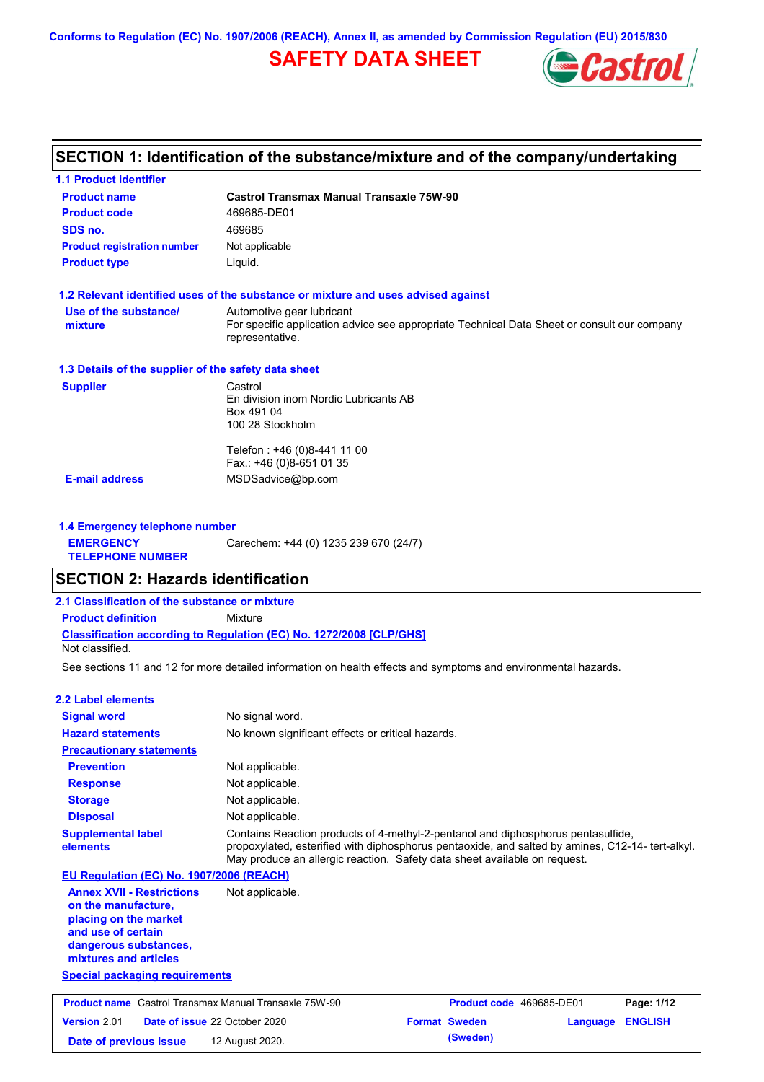## **SAFETY DATA SHEET**



# **SECTION 1: Identification of the substance/mixture and of the company/undertaking**

**1.1 Product identifier**

| <b>Product name</b>                                                                                                                                                                               | <b>Castrol Transmax Manual Transaxle 75W-90</b>                                                                                                                               |                          |          |                |
|---------------------------------------------------------------------------------------------------------------------------------------------------------------------------------------------------|-------------------------------------------------------------------------------------------------------------------------------------------------------------------------------|--------------------------|----------|----------------|
| <b>Product code</b>                                                                                                                                                                               | 469685-DE01                                                                                                                                                                   |                          |          |                |
| SDS no.                                                                                                                                                                                           | 469685                                                                                                                                                                        |                          |          |                |
| <b>Product registration number</b>                                                                                                                                                                | Not applicable                                                                                                                                                                |                          |          |                |
| <b>Product type</b>                                                                                                                                                                               | Liquid.                                                                                                                                                                       |                          |          |                |
|                                                                                                                                                                                                   |                                                                                                                                                                               |                          |          |                |
|                                                                                                                                                                                                   | 1.2 Relevant identified uses of the substance or mixture and uses advised against                                                                                             |                          |          |                |
| Use of the substance/<br>mixture                                                                                                                                                                  | Automotive gear lubricant<br>For specific application advice see appropriate Technical Data Sheet or consult our company<br>representative.                                   |                          |          |                |
| 1.3 Details of the supplier of the safety data sheet                                                                                                                                              |                                                                                                                                                                               |                          |          |                |
| <b>Supplier</b>                                                                                                                                                                                   | Castrol                                                                                                                                                                       |                          |          |                |
|                                                                                                                                                                                                   | En division inom Nordic Lubricants AB<br>Box 491 04<br>100 28 Stockholm                                                                                                       |                          |          |                |
|                                                                                                                                                                                                   | Telefon: +46 (0)8-441 11 00<br>Fax.: +46 (0)8-651 01 35                                                                                                                       |                          |          |                |
| <b>E-mail address</b>                                                                                                                                                                             | MSDSadvice@bp.com                                                                                                                                                             |                          |          |                |
|                                                                                                                                                                                                   |                                                                                                                                                                               |                          |          |                |
| 1.4 Emergency telephone number                                                                                                                                                                    |                                                                                                                                                                               |                          |          |                |
| <b>EMERGENCY</b>                                                                                                                                                                                  | Carechem: +44 (0) 1235 239 670 (24/7)                                                                                                                                         |                          |          |                |
| <b>TELEPHONE NUMBER</b>                                                                                                                                                                           |                                                                                                                                                                               |                          |          |                |
| <b>SECTION 2: Hazards identification</b>                                                                                                                                                          |                                                                                                                                                                               |                          |          |                |
| 2.1 Classification of the substance or mixture                                                                                                                                                    |                                                                                                                                                                               |                          |          |                |
| <b>Product definition</b>                                                                                                                                                                         | Mixture                                                                                                                                                                       |                          |          |                |
|                                                                                                                                                                                                   | Classification according to Regulation (EC) No. 1272/2008 [CLP/GHS]                                                                                                           |                          |          |                |
| Not classified.                                                                                                                                                                                   |                                                                                                                                                                               |                          |          |                |
|                                                                                                                                                                                                   | See sections 11 and 12 for more detailed information on health effects and symptoms and environmental hazards.                                                                |                          |          |                |
| <b>2.2 Label elements</b>                                                                                                                                                                         |                                                                                                                                                                               |                          |          |                |
| <b>Signal word</b>                                                                                                                                                                                | No signal word.                                                                                                                                                               |                          |          |                |
| <b>Hazard statements</b>                                                                                                                                                                          | No known significant effects or critical hazards.                                                                                                                             |                          |          |                |
| <b>Precautionary statements</b>                                                                                                                                                                   |                                                                                                                                                                               |                          |          |                |
| <b>Prevention</b>                                                                                                                                                                                 | Not applicable.                                                                                                                                                               |                          |          |                |
| <b>Response</b>                                                                                                                                                                                   | Not applicable.                                                                                                                                                               |                          |          |                |
| <b>Storage</b>                                                                                                                                                                                    | Not applicable.                                                                                                                                                               |                          |          |                |
| <b>Disposal</b>                                                                                                                                                                                   | Not applicable.                                                                                                                                                               |                          |          |                |
| <b>Supplemental label</b>                                                                                                                                                                         | Contains Reaction products of 4-methyl-2-pentanol and diphosphorus pentasulfide,                                                                                              |                          |          |                |
| elements                                                                                                                                                                                          | propoxylated, esterified with diphosphorus pentaoxide, and salted by amines, C12-14- tert-alkyl.<br>May produce an allergic reaction. Safety data sheet available on request. |                          |          |                |
| EU Regulation (EC) No. 1907/2006 (REACH)                                                                                                                                                          |                                                                                                                                                                               |                          |          |                |
| <b>Annex XVII - Restrictions</b><br>on the manufacture,<br>placing on the market<br>and use of certain<br>dangerous substances,<br>mixtures and articles<br><b>Special packaging requirements</b> | Not applicable.                                                                                                                                                               |                          |          |                |
|                                                                                                                                                                                                   |                                                                                                                                                                               |                          |          |                |
| <b>Product name</b> Castrol Transmax Manual Transaxle 75W-90                                                                                                                                      |                                                                                                                                                                               | Product code 469685-DE01 |          | Page: 1/12     |
| <b>Version 2.01</b><br>Date of issue 22 October 2020                                                                                                                                              |                                                                                                                                                                               | <b>Format Sweden</b>     | Language | <b>ENGLISH</b> |
| Date of previous issue                                                                                                                                                                            | 12 August 2020.                                                                                                                                                               | (Sweden)                 |          |                |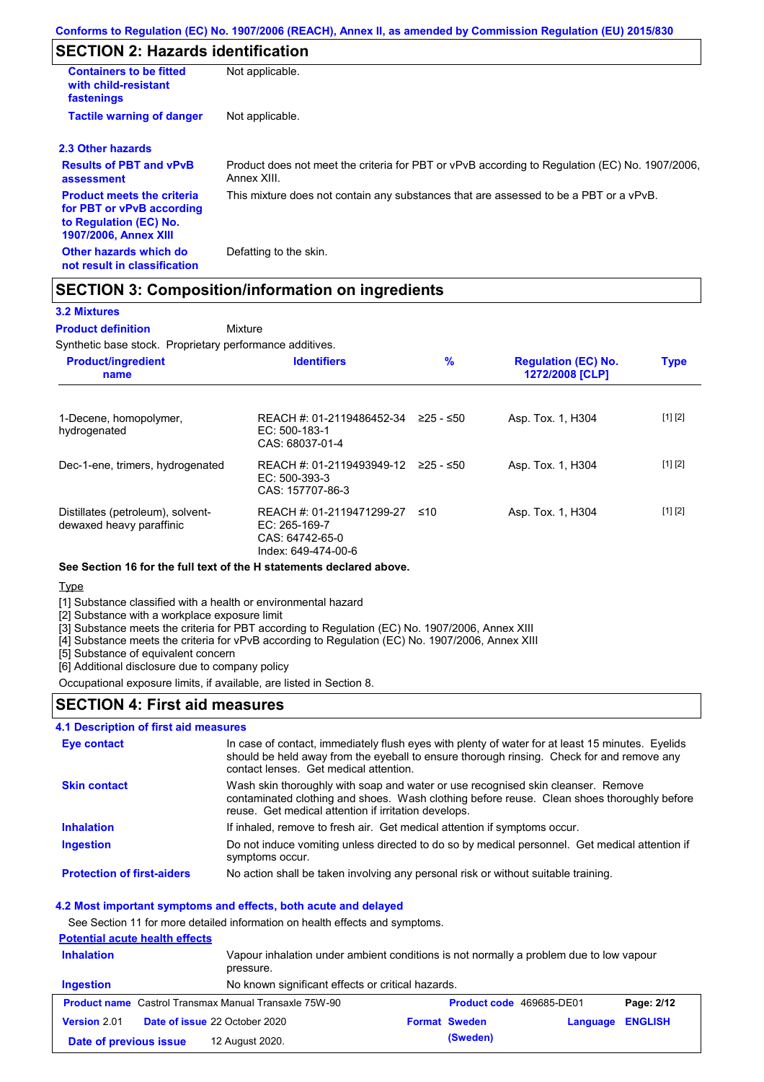## **SECTION 2: Hazards identification**

| <b>Containers to be fitted</b><br>with child-resistant<br>fastenings                                                     | Not applicable.                                                                                               |
|--------------------------------------------------------------------------------------------------------------------------|---------------------------------------------------------------------------------------------------------------|
| <b>Tactile warning of danger</b>                                                                                         | Not applicable.                                                                                               |
| 2.3 Other hazards                                                                                                        |                                                                                                               |
| <b>Results of PBT and vPvB</b><br>assessment                                                                             | Product does not meet the criteria for PBT or vPvB according to Regulation (EC) No. 1907/2006,<br>Annex XIII. |
| <b>Product meets the criteria</b><br>for PBT or vPvB according<br>to Regulation (EC) No.<br><b>1907/2006, Annex XIII</b> | This mixture does not contain any substances that are assessed to be a PBT or a vPvB.                         |
| Other hazards which do<br>not result in classification                                                                   | Defatting to the skin.                                                                                        |

### **SECTION 3: Composition/information on ingredients**

Mixture

#### **3.2 Mixtures**

**Product definition**

Synthetic base stock. Proprietary performance additives.

| <b>Product/ingredient</b><br>name                             | <b>Identifiers</b>                                                                     | $\%$      | <b>Regulation (EC) No.</b><br>1272/2008 [CLP] | <b>Type</b> |
|---------------------------------------------------------------|----------------------------------------------------------------------------------------|-----------|-----------------------------------------------|-------------|
| 1-Decene, homopolymer,<br>hydrogenated                        | REACH #: 01-2119486452-34<br>$EC: 500-183-1$<br>CAS: 68037-01-4                        | 225 - ≤50 | Asp. Tox. 1, H304                             | [1] [2]     |
| Dec-1-ene, trimers, hydrogenated                              | REACH #: 01-2119493949-12<br>$EC: 500-393-3$<br>CAS: 157707-86-3                       | 225 - ≤50 | Asp. Tox. 1, H304                             | [1] [2]     |
| Distillates (petroleum), solvent-<br>dewaxed heavy paraffinic | REACH #: 01-2119471299-27<br>$EC: 265-169-7$<br>CAS: 64742-65-0<br>Index: 649-474-00-6 | ≤10       | Asp. Tox. 1, H304                             | [1] [2]     |

#### **See Section 16 for the full text of the H statements declared above.**

Type

[1] Substance classified with a health or environmental hazard

[2] Substance with a workplace exposure limit

[3] Substance meets the criteria for PBT according to Regulation (EC) No. 1907/2006, Annex XIII

[4] Substance meets the criteria for vPvB according to Regulation (EC) No. 1907/2006, Annex XIII

[5] Substance of equivalent concern

[6] Additional disclosure due to company policy

Occupational exposure limits, if available, are listed in Section 8.

### **SECTION 4: First aid measures**

### **4.1 Description of first aid measures**

| <b>Eye contact</b>                | In case of contact, immediately flush eyes with plenty of water for at least 15 minutes. Eyelids<br>should be held away from the eyeball to ensure thorough rinsing. Check for and remove any<br>contact lenses. Get medical attention. |
|-----------------------------------|-----------------------------------------------------------------------------------------------------------------------------------------------------------------------------------------------------------------------------------------|
| <b>Skin contact</b>               | Wash skin thoroughly with soap and water or use recognised skin cleanser. Remove<br>contaminated clothing and shoes. Wash clothing before reuse. Clean shoes thoroughly before<br>reuse. Get medical attention if irritation develops.  |
| <b>Inhalation</b>                 | If inhaled, remove to fresh air. Get medical attention if symptoms occur.                                                                                                                                                               |
| <b>Ingestion</b>                  | Do not induce vomiting unless directed to do so by medical personnel. Get medical attention if<br>symptoms occur.                                                                                                                       |
| <b>Protection of first-aiders</b> | No action shall be taken involving any personal risk or without suitable training.                                                                                                                                                      |

#### **4.2 Most important symptoms and effects, both acute and delayed**

See Section 11 for more detailed information on health effects and symptoms.

### **Potential acute health effects**

| <b>Inhalation</b>      | pressure.                                                    | Vapour inhalation under ambient conditions is not normally a problem due to low vapour |                                 |                  |            |
|------------------------|--------------------------------------------------------------|----------------------------------------------------------------------------------------|---------------------------------|------------------|------------|
| Ingestion              | No known significant effects or critical hazards.            |                                                                                        |                                 |                  |            |
|                        | <b>Product name</b> Castrol Transmax Manual Transaxle 75W-90 |                                                                                        | <b>Product code</b> 469685-DE01 |                  | Page: 2/12 |
| <b>Version 2.01</b>    | <b>Date of issue 22 October 2020</b>                         |                                                                                        | <b>Format Sweden</b>            | Language ENGLISH |            |
| Date of previous issue | 12 August 2020.                                              |                                                                                        | (Sweden)                        |                  |            |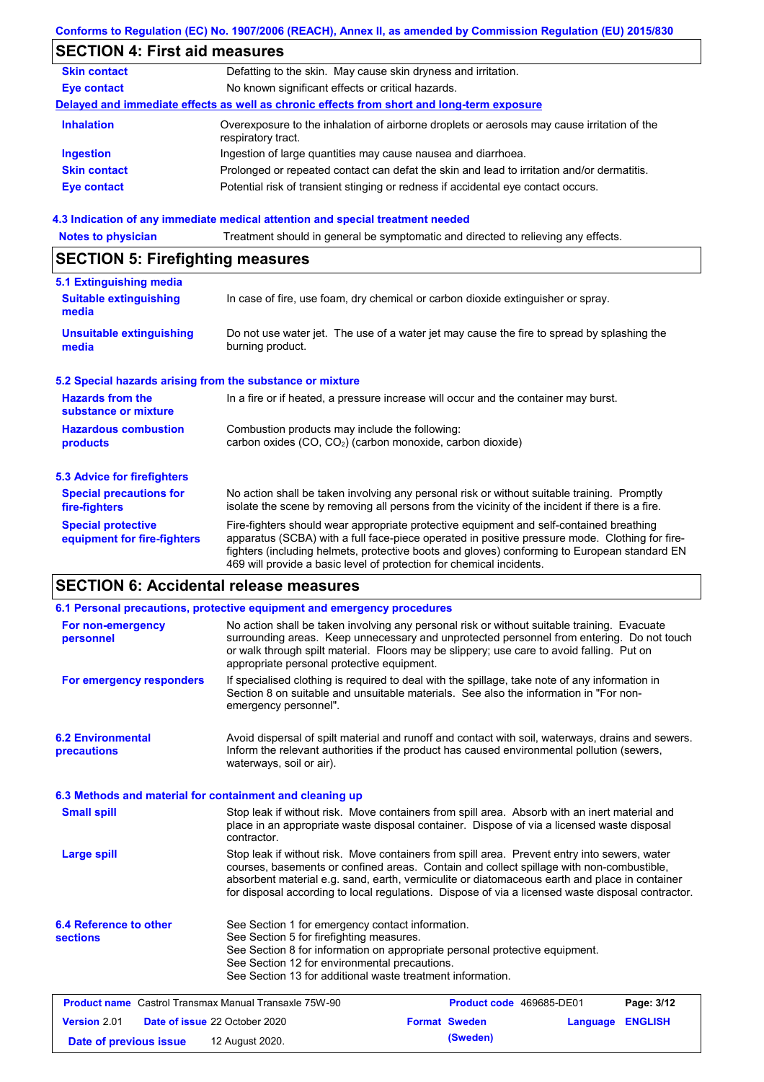|                                                           | Conforms to Regulation (EC) No. 1907/2006 (REACH), Annex II, as amended by Commission Regulation (EU) 2015/830                                                                                                                                                                                                                                                    |  |  |  |  |
|-----------------------------------------------------------|-------------------------------------------------------------------------------------------------------------------------------------------------------------------------------------------------------------------------------------------------------------------------------------------------------------------------------------------------------------------|--|--|--|--|
| <b>SECTION 4: First aid measures</b>                      |                                                                                                                                                                                                                                                                                                                                                                   |  |  |  |  |
| <b>Skin contact</b>                                       | Defatting to the skin. May cause skin dryness and irritation.                                                                                                                                                                                                                                                                                                     |  |  |  |  |
| <b>Eye contact</b>                                        | No known significant effects or critical hazards.                                                                                                                                                                                                                                                                                                                 |  |  |  |  |
|                                                           | Delayed and immediate effects as well as chronic effects from short and long-term exposure                                                                                                                                                                                                                                                                        |  |  |  |  |
| <b>Inhalation</b>                                         | Overexposure to the inhalation of airborne droplets or aerosols may cause irritation of the<br>respiratory tract.                                                                                                                                                                                                                                                 |  |  |  |  |
| <b>Ingestion</b>                                          | Ingestion of large quantities may cause nausea and diarrhoea.                                                                                                                                                                                                                                                                                                     |  |  |  |  |
| <b>Skin contact</b>                                       | Prolonged or repeated contact can defat the skin and lead to irritation and/or dermatitis.                                                                                                                                                                                                                                                                        |  |  |  |  |
| <b>Eye contact</b>                                        | Potential risk of transient stinging or redness if accidental eye contact occurs.                                                                                                                                                                                                                                                                                 |  |  |  |  |
|                                                           | 4.3 Indication of any immediate medical attention and special treatment needed                                                                                                                                                                                                                                                                                    |  |  |  |  |
| <b>Notes to physician</b>                                 | Treatment should in general be symptomatic and directed to relieving any effects.                                                                                                                                                                                                                                                                                 |  |  |  |  |
| <b>SECTION 5: Firefighting measures</b>                   |                                                                                                                                                                                                                                                                                                                                                                   |  |  |  |  |
| 5.1 Extinguishing media                                   |                                                                                                                                                                                                                                                                                                                                                                   |  |  |  |  |
| <b>Suitable extinguishing</b><br>media                    | In case of fire, use foam, dry chemical or carbon dioxide extinguisher or spray.                                                                                                                                                                                                                                                                                  |  |  |  |  |
| <b>Unsuitable extinguishing</b><br>media                  | Do not use water jet. The use of a water jet may cause the fire to spread by splashing the<br>burning product.                                                                                                                                                                                                                                                    |  |  |  |  |
| 5.2 Special hazards arising from the substance or mixture |                                                                                                                                                                                                                                                                                                                                                                   |  |  |  |  |
| <b>Hazards from the</b><br>substance or mixture           | In a fire or if heated, a pressure increase will occur and the container may burst.                                                                                                                                                                                                                                                                               |  |  |  |  |
| <b>Hazardous combustion</b><br>products                   | Combustion products may include the following:<br>carbon oxides (CO, CO <sub>2</sub> ) (carbon monoxide, carbon dioxide)                                                                                                                                                                                                                                          |  |  |  |  |
| <b>5.3 Advice for firefighters</b>                        |                                                                                                                                                                                                                                                                                                                                                                   |  |  |  |  |
| <b>Special precautions for</b><br>fire-fighters           | No action shall be taken involving any personal risk or without suitable training. Promptly<br>isolate the scene by removing all persons from the vicinity of the incident if there is a fire.                                                                                                                                                                    |  |  |  |  |
| <b>Special protective</b><br>equipment for fire-fighters  | Fire-fighters should wear appropriate protective equipment and self-contained breathing<br>apparatus (SCBA) with a full face-piece operated in positive pressure mode. Clothing for fire-<br>fighters (including helmets, protective boots and gloves) conforming to European standard EN<br>469 will provide a basic level of protection for chemical incidents. |  |  |  |  |
| <b>SECTION 6: Accidental release measures</b>             |                                                                                                                                                                                                                                                                                                                                                                   |  |  |  |  |
|                                                           |                                                                                                                                                                                                                                                                                                                                                                   |  |  |  |  |

|                                                              | 6.1 Personal precautions, protective equipment and emergency procedures                                                                                                                                                                                                                                                                                                                        |  |  |  |
|--------------------------------------------------------------|------------------------------------------------------------------------------------------------------------------------------------------------------------------------------------------------------------------------------------------------------------------------------------------------------------------------------------------------------------------------------------------------|--|--|--|
| For non-emergency<br>personnel                               | No action shall be taken involving any personal risk or without suitable training. Evacuate<br>surrounding areas. Keep unnecessary and unprotected personnel from entering. Do not touch<br>or walk through spilt material. Floors may be slippery; use care to avoid falling. Put on<br>appropriate personal protective equipment.                                                            |  |  |  |
| For emergency responders                                     | If specialised clothing is required to deal with the spillage, take note of any information in<br>Section 8 on suitable and unsuitable materials. See also the information in "For non-<br>emergency personnel".                                                                                                                                                                               |  |  |  |
| <b>6.2 Environmental</b><br>precautions                      | Avoid dispersal of spilt material and runoff and contact with soil, waterways, drains and sewers.<br>Inform the relevant authorities if the product has caused environmental pollution (sewers,<br>waterways, soil or air).                                                                                                                                                                    |  |  |  |
|                                                              | 6.3 Methods and material for containment and cleaning up                                                                                                                                                                                                                                                                                                                                       |  |  |  |
| <b>Small spill</b>                                           | Stop leak if without risk. Move containers from spill area. Absorb with an inert material and<br>place in an appropriate waste disposal container. Dispose of via a licensed waste disposal<br>contractor.                                                                                                                                                                                     |  |  |  |
| <b>Large spill</b>                                           | Stop leak if without risk. Move containers from spill area. Prevent entry into sewers, water<br>courses, basements or confined areas. Contain and collect spillage with non-combustible,<br>absorbent material e.g. sand, earth, vermiculite or diatomaceous earth and place in container<br>for disposal according to local regulations. Dispose of via a licensed waste disposal contractor. |  |  |  |
| <b>6.4 Reference to other</b><br><b>sections</b>             | See Section 1 for emergency contact information.<br>See Section 5 for firefighting measures.<br>See Section 8 for information on appropriate personal protective equipment.<br>See Section 12 for environmental precautions.<br>See Section 13 for additional waste treatment information.                                                                                                     |  |  |  |
| <b>Product name</b> Castrol Transmax Manual Transaxle 75W-90 | Product code 469685-DE01<br>Page: 3/12                                                                                                                                                                                                                                                                                                                                                         |  |  |  |
| Version 2.01                                                 | Date of issue 22 October 2020<br><b>Format Sweden</b><br><b>ENGLISH</b><br>Language                                                                                                                                                                                                                                                                                                            |  |  |  |
| Date of previous issue                                       | (Sweden)<br>12 August 2020.                                                                                                                                                                                                                                                                                                                                                                    |  |  |  |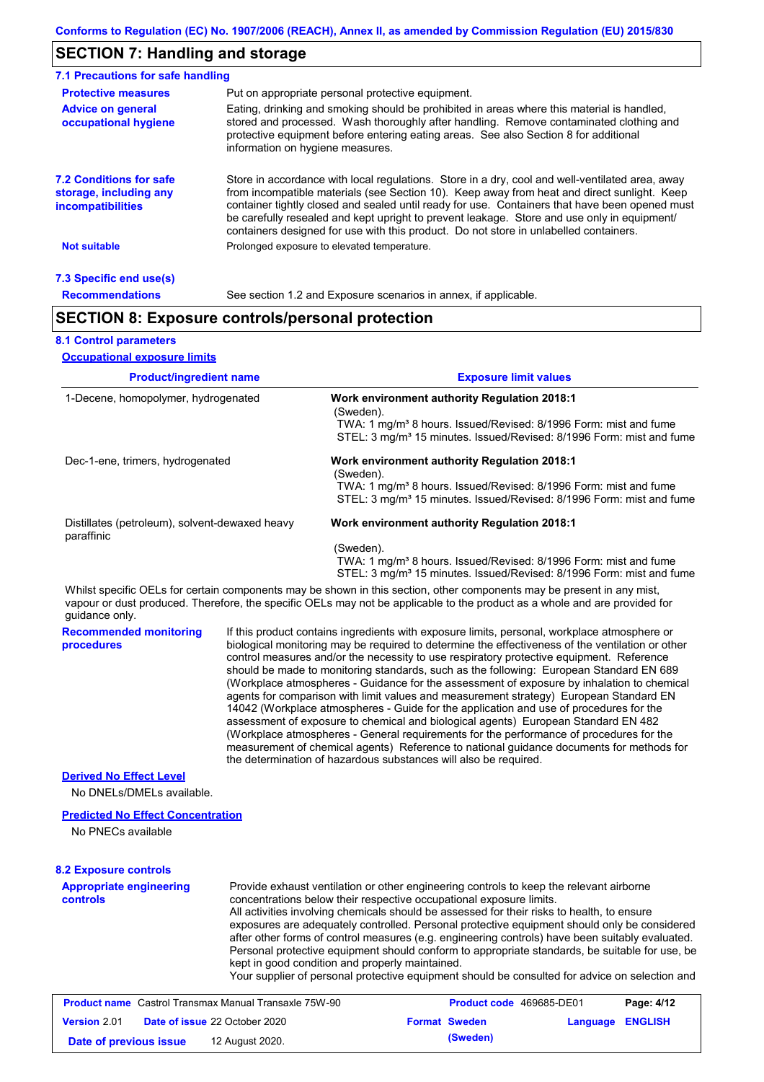## **SECTION 7: Handling and storage**

| 7.1 Precautions for safe handling                                                                                                                                                                                                                                                                                                                                    |                                                                                                                                                                                                                                                                                                                                                                                                                                                                                          |  |  |  |
|----------------------------------------------------------------------------------------------------------------------------------------------------------------------------------------------------------------------------------------------------------------------------------------------------------------------------------------------------------------------|------------------------------------------------------------------------------------------------------------------------------------------------------------------------------------------------------------------------------------------------------------------------------------------------------------------------------------------------------------------------------------------------------------------------------------------------------------------------------------------|--|--|--|
| <b>Protective measures</b>                                                                                                                                                                                                                                                                                                                                           | Put on appropriate personal protective equipment.                                                                                                                                                                                                                                                                                                                                                                                                                                        |  |  |  |
| Eating, drinking and smoking should be prohibited in areas where this material is handled.<br><b>Advice on general</b><br>stored and processed. Wash thoroughly after handling. Remove contaminated clothing and<br>occupational hygiene<br>protective equipment before entering eating areas. See also Section 8 for additional<br>information on hygiene measures. |                                                                                                                                                                                                                                                                                                                                                                                                                                                                                          |  |  |  |
| <b>7.2 Conditions for safe</b><br>storage, including any<br><i>incompatibilities</i>                                                                                                                                                                                                                                                                                 | Store in accordance with local requiations. Store in a dry, cool and well-ventilated area, away<br>from incompatible materials (see Section 10). Keep away from heat and direct sunlight. Keep<br>container tightly closed and sealed until ready for use. Containers that have been opened must<br>be carefully resealed and kept upright to prevent leakage. Store and use only in equipment/<br>containers designed for use with this product. Do not store in unlabelled containers. |  |  |  |
| <b>Not suitable</b>                                                                                                                                                                                                                                                                                                                                                  | Prolonged exposure to elevated temperature.                                                                                                                                                                                                                                                                                                                                                                                                                                              |  |  |  |
| 7.3 Specific end use(s)                                                                                                                                                                                                                                                                                                                                              |                                                                                                                                                                                                                                                                                                                                                                                                                                                                                          |  |  |  |
| <b>Recommendations</b>                                                                                                                                                                                                                                                                                                                                               | See section 1.2 and Exposure scenarios in annex, if applicable.                                                                                                                                                                                                                                                                                                                                                                                                                          |  |  |  |

## **SECTION 8: Exposure controls/personal protection**

### **8.1 Control parameters**

| <b>Product/ingredient name</b><br>1-Decene, homopolymer, hydrogenated<br>Dec-1-ene, trimers, hydrogenated |                                                                                                                                                                                                                                                                                                                                                                                                                                                                                                                                                                                                                                                                                                                                                                                                                                                                                                                                                                                                                            | <b>Exposure limit values</b>                                                                                                                                                                                                                                                                                                                                                                                                                                          |  |  |  |
|-----------------------------------------------------------------------------------------------------------|----------------------------------------------------------------------------------------------------------------------------------------------------------------------------------------------------------------------------------------------------------------------------------------------------------------------------------------------------------------------------------------------------------------------------------------------------------------------------------------------------------------------------------------------------------------------------------------------------------------------------------------------------------------------------------------------------------------------------------------------------------------------------------------------------------------------------------------------------------------------------------------------------------------------------------------------------------------------------------------------------------------------------|-----------------------------------------------------------------------------------------------------------------------------------------------------------------------------------------------------------------------------------------------------------------------------------------------------------------------------------------------------------------------------------------------------------------------------------------------------------------------|--|--|--|
|                                                                                                           |                                                                                                                                                                                                                                                                                                                                                                                                                                                                                                                                                                                                                                                                                                                                                                                                                                                                                                                                                                                                                            | Work environment authority Regulation 2018:1<br>(Sweden).<br>TWA: 1 mg/m <sup>3</sup> 8 hours. Issued/Revised: 8/1996 Form: mist and fume<br>STEL: 3 mg/m <sup>3</sup> 15 minutes. Issued/Revised: 8/1996 Form: mist and fume<br><b>Work environment authority Regulation 2018:1</b><br>(Sweden).<br>TWA: 1 mg/m <sup>3</sup> 8 hours. Issued/Revised: 8/1996 Form: mist and fume<br>STEL: 3 mg/m <sup>3</sup> 15 minutes. Issued/Revised: 8/1996 Form: mist and fume |  |  |  |
|                                                                                                           |                                                                                                                                                                                                                                                                                                                                                                                                                                                                                                                                                                                                                                                                                                                                                                                                                                                                                                                                                                                                                            |                                                                                                                                                                                                                                                                                                                                                                                                                                                                       |  |  |  |
|                                                                                                           |                                                                                                                                                                                                                                                                                                                                                                                                                                                                                                                                                                                                                                                                                                                                                                                                                                                                                                                                                                                                                            | (Sweden).<br>TWA: 1 mg/m <sup>3</sup> 8 hours. Issued/Revised: 8/1996 Form: mist and fume<br>STEL: 3 mg/m <sup>3</sup> 15 minutes. Issued/Revised: 8/1996 Form: mist and fume                                                                                                                                                                                                                                                                                         |  |  |  |
| guidance only.                                                                                            |                                                                                                                                                                                                                                                                                                                                                                                                                                                                                                                                                                                                                                                                                                                                                                                                                                                                                                                                                                                                                            | Whilst specific OELs for certain components may be shown in this section, other components may be present in any mist,<br>vapour or dust produced. Therefore, the specific OELs may not be applicable to the product as a whole and are provided for                                                                                                                                                                                                                  |  |  |  |
| <b>Recommended monitoring</b><br>procedures                                                               | If this product contains ingredients with exposure limits, personal, workplace atmosphere or<br>biological monitoring may be required to determine the effectiveness of the ventilation or other<br>control measures and/or the necessity to use respiratory protective equipment. Reference<br>should be made to monitoring standards, such as the following: European Standard EN 689<br>(Workplace atmospheres - Guidance for the assessment of exposure by inhalation to chemical<br>agents for comparison with limit values and measurement strategy) European Standard EN<br>14042 (Workplace atmospheres - Guide for the application and use of procedures for the<br>assessment of exposure to chemical and biological agents) European Standard EN 482<br>(Workplace atmospheres - General requirements for the performance of procedures for the<br>measurement of chemical agents) Reference to national guidance documents for methods for<br>the determination of hazardous substances will also be required. |                                                                                                                                                                                                                                                                                                                                                                                                                                                                       |  |  |  |
| <b>Derived No Effect Level</b>                                                                            |                                                                                                                                                                                                                                                                                                                                                                                                                                                                                                                                                                                                                                                                                                                                                                                                                                                                                                                                                                                                                            |                                                                                                                                                                                                                                                                                                                                                                                                                                                                       |  |  |  |
| No DNELs/DMELs available.                                                                                 |                                                                                                                                                                                                                                                                                                                                                                                                                                                                                                                                                                                                                                                                                                                                                                                                                                                                                                                                                                                                                            |                                                                                                                                                                                                                                                                                                                                                                                                                                                                       |  |  |  |
| <b>Predicted No Effect Concentration</b>                                                                  |                                                                                                                                                                                                                                                                                                                                                                                                                                                                                                                                                                                                                                                                                                                                                                                                                                                                                                                                                                                                                            |                                                                                                                                                                                                                                                                                                                                                                                                                                                                       |  |  |  |
| No PNECs available                                                                                        |                                                                                                                                                                                                                                                                                                                                                                                                                                                                                                                                                                                                                                                                                                                                                                                                                                                                                                                                                                                                                            |                                                                                                                                                                                                                                                                                                                                                                                                                                                                       |  |  |  |
| <b>8.2 Exposure controls</b>                                                                              |                                                                                                                                                                                                                                                                                                                                                                                                                                                                                                                                                                                                                                                                                                                                                                                                                                                                                                                                                                                                                            |                                                                                                                                                                                                                                                                                                                                                                                                                                                                       |  |  |  |
| <b>Appropriate engineering</b><br><b>controls</b>                                                         |                                                                                                                                                                                                                                                                                                                                                                                                                                                                                                                                                                                                                                                                                                                                                                                                                                                                                                                                                                                                                            | Provide exhaust ventilation or other engineering controls to keep the relevant airborne<br>concentrations below their respective occupational exposure limits.                                                                                                                                                                                                                                                                                                        |  |  |  |

All activities involving chemicals should be assessed for their risks to health, to ensure exposures are adequately controlled. Personal protective equipment should only be considered after other forms of control measures (e.g. engineering controls) have been suitably evaluated. Personal protective equipment should conform to appropriate standards, be suitable for use, be kept in good condition and properly maintained.

Your supplier of personal protective equipment should be consulted for advice on selection and

| <b>Product name</b> Castrol Transmax Manual Transaxle 75W-90 |  |                                      | <b>Product code</b> 469685-DE01 |                      | Page: 4/12       |  |
|--------------------------------------------------------------|--|--------------------------------------|---------------------------------|----------------------|------------------|--|
| <b>Version 2.01</b>                                          |  | <b>Date of issue 22 October 2020</b> |                                 | <b>Format Sweden</b> | Language ENGLISH |  |
| Date of previous issue                                       |  | 12 August 2020.                      |                                 | (Sweden)             |                  |  |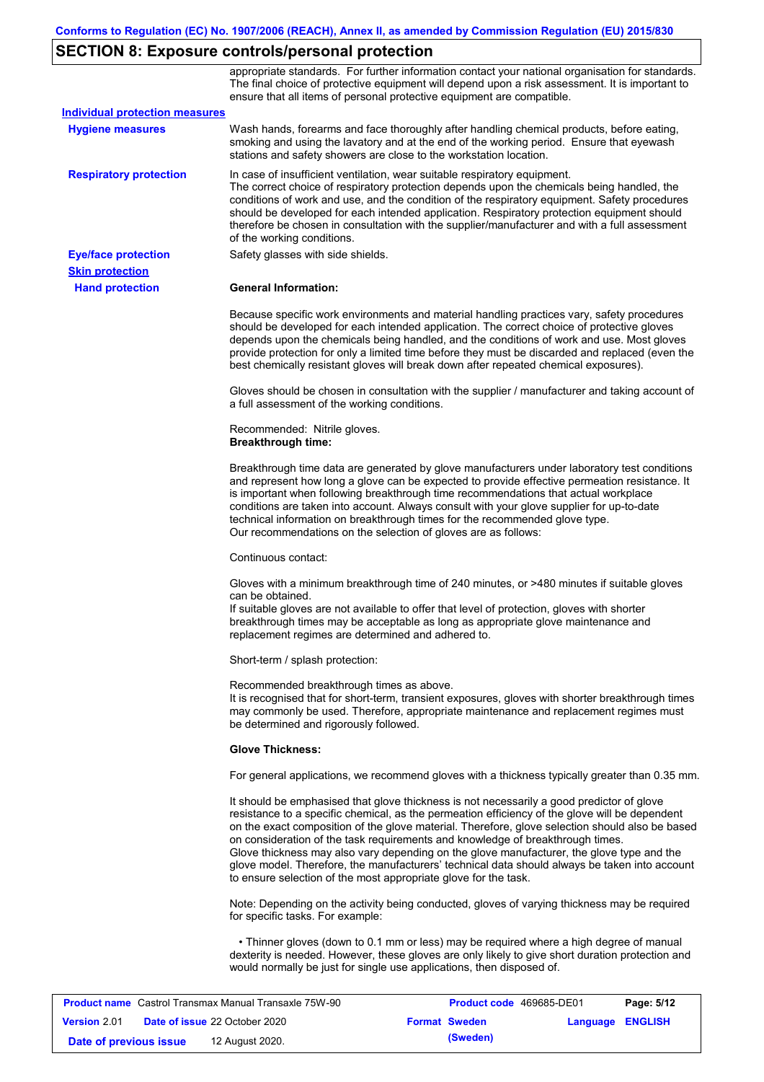# **SECTION 8: Exposure controls/personal protection**

|                                       | appropriate standards. For further information contact your national organisation for standards.<br>The final choice of protective equipment will depend upon a risk assessment. It is important to<br>ensure that all items of personal protective equipment are compatible.                                                                                                                                                                                                                                                                                                                                                                     |
|---------------------------------------|---------------------------------------------------------------------------------------------------------------------------------------------------------------------------------------------------------------------------------------------------------------------------------------------------------------------------------------------------------------------------------------------------------------------------------------------------------------------------------------------------------------------------------------------------------------------------------------------------------------------------------------------------|
| <b>Individual protection measures</b> |                                                                                                                                                                                                                                                                                                                                                                                                                                                                                                                                                                                                                                                   |
| <b>Hygiene measures</b>               | Wash hands, forearms and face thoroughly after handling chemical products, before eating,<br>smoking and using the lavatory and at the end of the working period. Ensure that eyewash<br>stations and safety showers are close to the workstation location.                                                                                                                                                                                                                                                                                                                                                                                       |
| <b>Respiratory protection</b>         | In case of insufficient ventilation, wear suitable respiratory equipment.<br>The correct choice of respiratory protection depends upon the chemicals being handled, the<br>conditions of work and use, and the condition of the respiratory equipment. Safety procedures<br>should be developed for each intended application. Respiratory protection equipment should<br>therefore be chosen in consultation with the supplier/manufacturer and with a full assessment<br>of the working conditions.                                                                                                                                             |
| <b>Eye/face protection</b>            | Safety glasses with side shields.                                                                                                                                                                                                                                                                                                                                                                                                                                                                                                                                                                                                                 |
| <b>Skin protection</b>                |                                                                                                                                                                                                                                                                                                                                                                                                                                                                                                                                                                                                                                                   |
| <b>Hand protection</b>                | <b>General Information:</b>                                                                                                                                                                                                                                                                                                                                                                                                                                                                                                                                                                                                                       |
|                                       | Because specific work environments and material handling practices vary, safety procedures<br>should be developed for each intended application. The correct choice of protective gloves<br>depends upon the chemicals being handled, and the conditions of work and use. Most gloves<br>provide protection for only a limited time before they must be discarded and replaced (even the<br>best chemically resistant gloves will break down after repeated chemical exposures).                                                                                                                                                                  |
|                                       | Gloves should be chosen in consultation with the supplier / manufacturer and taking account of<br>a full assessment of the working conditions.                                                                                                                                                                                                                                                                                                                                                                                                                                                                                                    |
|                                       | Recommended: Nitrile gloves.<br><b>Breakthrough time:</b>                                                                                                                                                                                                                                                                                                                                                                                                                                                                                                                                                                                         |
|                                       | Breakthrough time data are generated by glove manufacturers under laboratory test conditions<br>and represent how long a glove can be expected to provide effective permeation resistance. It<br>is important when following breakthrough time recommendations that actual workplace<br>conditions are taken into account. Always consult with your glove supplier for up-to-date<br>technical information on breakthrough times for the recommended glove type.<br>Our recommendations on the selection of gloves are as follows:                                                                                                                |
|                                       | Continuous contact:                                                                                                                                                                                                                                                                                                                                                                                                                                                                                                                                                                                                                               |
|                                       | Gloves with a minimum breakthrough time of 240 minutes, or >480 minutes if suitable gloves<br>can be obtained.<br>If suitable gloves are not available to offer that level of protection, gloves with shorter<br>breakthrough times may be acceptable as long as appropriate glove maintenance and<br>replacement regimes are determined and adhered to.                                                                                                                                                                                                                                                                                          |
|                                       | Short-term / splash protection:                                                                                                                                                                                                                                                                                                                                                                                                                                                                                                                                                                                                                   |
|                                       | Recommended breakthrough times as above.<br>It is recognised that for short-term, transient exposures, gloves with shorter breakthrough times<br>may commonly be used. Therefore, appropriate maintenance and replacement regimes must<br>be determined and rigorously followed.                                                                                                                                                                                                                                                                                                                                                                  |
|                                       | <b>Glove Thickness:</b>                                                                                                                                                                                                                                                                                                                                                                                                                                                                                                                                                                                                                           |
|                                       | For general applications, we recommend gloves with a thickness typically greater than 0.35 mm.                                                                                                                                                                                                                                                                                                                                                                                                                                                                                                                                                    |
|                                       | It should be emphasised that glove thickness is not necessarily a good predictor of glove<br>resistance to a specific chemical, as the permeation efficiency of the glove will be dependent<br>on the exact composition of the glove material. Therefore, glove selection should also be based<br>on consideration of the task requirements and knowledge of breakthrough times.<br>Glove thickness may also vary depending on the glove manufacturer, the glove type and the<br>glove model. Therefore, the manufacturers' technical data should always be taken into account<br>to ensure selection of the most appropriate glove for the task. |
|                                       | Note: Depending on the activity being conducted, gloves of varying thickness may be required<br>for specific tasks. For example:                                                                                                                                                                                                                                                                                                                                                                                                                                                                                                                  |
|                                       | • Thinner gloves (down to 0.1 mm or less) may be required where a high degree of manual<br>dexterity is needed. However, these gloves are only likely to give short duration protection and<br>would normally be just for single use applications, then disposed of.                                                                                                                                                                                                                                                                                                                                                                              |
|                                       |                                                                                                                                                                                                                                                                                                                                                                                                                                                                                                                                                                                                                                                   |

| <b>Product name</b> Castrol Transmax Manual Transaxle 75W-90 |  | <b>Product code</b> 469685-DE01      |  | Page: 5/12           |                         |  |
|--------------------------------------------------------------|--|--------------------------------------|--|----------------------|-------------------------|--|
| Version 2.01                                                 |  | <b>Date of issue 22 October 2020</b> |  | <b>Format Sweden</b> | <b>Language ENGLISH</b> |  |
| Date of previous issue                                       |  | 12 August 2020.                      |  | (Sweden)             |                         |  |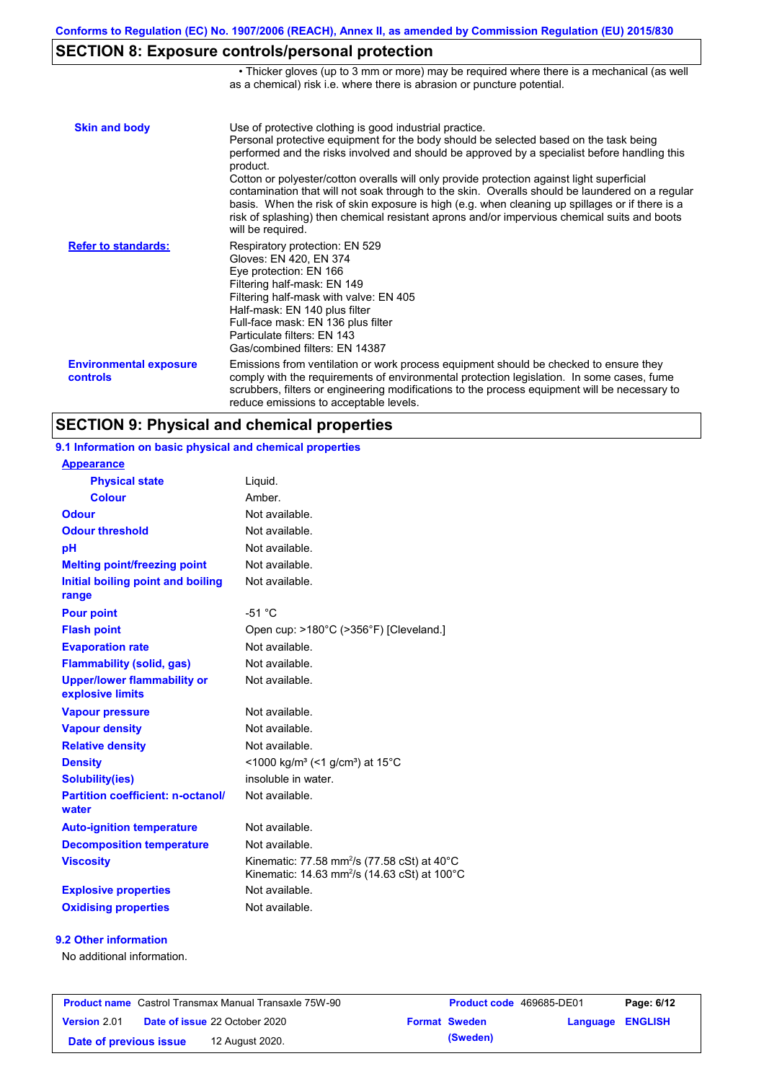• Thicker gloves (up to 3 mm or more) may be required where there is a mechanical (as well

## **SECTION 8: Exposure controls/personal protection**

|                                           | as a chemical) risk i.e. where there is abrasion or puncture potential.                                                                                                                                                                                                                                                                                                                                                                                                                                                                                                                                                                                                               |
|-------------------------------------------|---------------------------------------------------------------------------------------------------------------------------------------------------------------------------------------------------------------------------------------------------------------------------------------------------------------------------------------------------------------------------------------------------------------------------------------------------------------------------------------------------------------------------------------------------------------------------------------------------------------------------------------------------------------------------------------|
| <b>Skin and body</b>                      | Use of protective clothing is good industrial practice.<br>Personal protective equipment for the body should be selected based on the task being<br>performed and the risks involved and should be approved by a specialist before handling this<br>product.<br>Cotton or polyester/cotton overalls will only provide protection against light superficial<br>contamination that will not soak through to the skin. Overalls should be laundered on a regular<br>basis. When the risk of skin exposure is high (e.g. when cleaning up spillages or if there is a<br>risk of splashing) then chemical resistant aprons and/or impervious chemical suits and boots<br>will be required. |
| <b>Refer to standards:</b>                | Respiratory protection: EN 529<br>Gloves: EN 420, EN 374<br>Eye protection: EN 166<br>Filtering half-mask: EN 149<br>Filtering half-mask with valve: EN 405<br>Half-mask: EN 140 plus filter<br>Full-face mask: EN 136 plus filter<br>Particulate filters: EN 143<br>Gas/combined filters: EN 14387                                                                                                                                                                                                                                                                                                                                                                                   |
| <b>Environmental exposure</b><br>controls | Emissions from ventilation or work process equipment should be checked to ensure they<br>comply with the requirements of environmental protection legislation. In some cases, fume<br>scrubbers, filters or engineering modifications to the process equipment will be necessary to<br>reduce emissions to acceptable levels.                                                                                                                                                                                                                                                                                                                                                         |

## **SECTION 9: Physical and chemical properties**

### **9.1 Information on basic physical and chemical properties**

| <b>Appearance</b>                                      |                                                                                                                                |
|--------------------------------------------------------|--------------------------------------------------------------------------------------------------------------------------------|
| <b>Physical state</b>                                  | Liguid.                                                                                                                        |
| <b>Colour</b>                                          | Amber.                                                                                                                         |
| Odour                                                  | Not available.                                                                                                                 |
| <b>Odour threshold</b>                                 | Not available.                                                                                                                 |
| рH                                                     | Not available.                                                                                                                 |
| <b>Melting point/freezing point</b>                    | Not available.                                                                                                                 |
| Initial boiling point and boiling<br>range             | Not available.                                                                                                                 |
| <b>Pour point</b>                                      | $-51 °C$                                                                                                                       |
| <b>Flash point</b>                                     | Open cup: >180°C (>356°F) [Cleveland.]                                                                                         |
| <b>Evaporation rate</b>                                | Not available.                                                                                                                 |
| <b>Flammability (solid, gas)</b>                       | Not available.                                                                                                                 |
| <b>Upper/lower flammability or</b><br>explosive limits | Not available.                                                                                                                 |
| <b>Vapour pressure</b>                                 | Not available.                                                                                                                 |
| <b>Vapour density</b>                                  | Not available.                                                                                                                 |
| <b>Relative density</b>                                | Not available.                                                                                                                 |
| <b>Density</b>                                         | $\leq$ 1000 kg/m <sup>3</sup> (<1 g/cm <sup>3</sup> ) at 15 <sup>°</sup> C                                                     |
| <b>Solubility(ies)</b>                                 | insoluble in water.                                                                                                            |
| <b>Partition coefficient: n-octanol/</b><br>water      | Not available.                                                                                                                 |
| <b>Auto-ignition temperature</b>                       | Not available.                                                                                                                 |
| <b>Decomposition temperature</b>                       | Not available.                                                                                                                 |
| <b>Viscosity</b>                                       | Kinematic: 77.58 mm <sup>2</sup> /s (77.58 cSt) at 40 $^{\circ}$ C<br>Kinematic: 14.63 mm <sup>2</sup> /s (14.63 cSt) at 100°C |
| <b>Explosive properties</b>                            | Not available.                                                                                                                 |
| <b>Oxidising properties</b>                            | Not available.                                                                                                                 |

#### **9.2 Other information**

No additional information.

| <b>Product name</b> Castrol Transmax Manual Transaxle 75W-90 |                                      | <b>Product code</b> 469685-DE01 |                      | Page: 6/12       |  |
|--------------------------------------------------------------|--------------------------------------|---------------------------------|----------------------|------------------|--|
| <b>Version</b> 2.01                                          | <b>Date of issue 22 October 2020</b> |                                 | <b>Format Sweden</b> | Language ENGLISH |  |
| Date of previous issue                                       | 12 August 2020.                      |                                 | (Sweden)             |                  |  |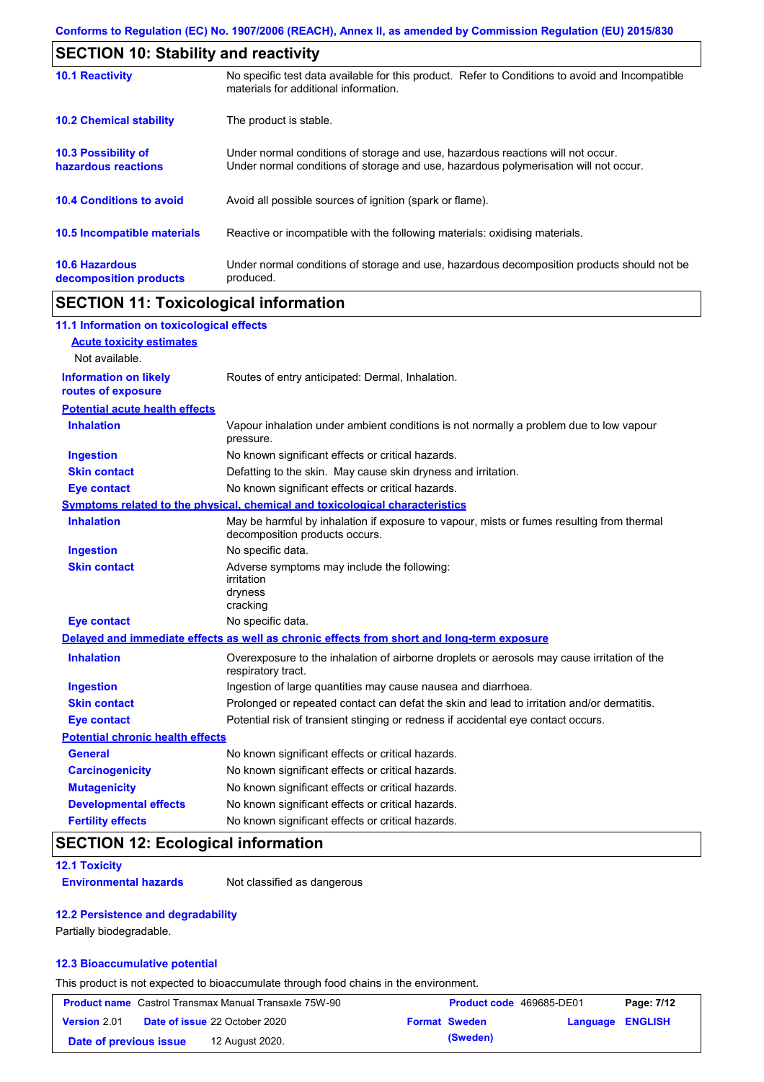| <b>SECTION 10: Stability and reactivity</b>       |                                                                                                                                                                         |  |  |
|---------------------------------------------------|-------------------------------------------------------------------------------------------------------------------------------------------------------------------------|--|--|
| <b>10.1 Reactivity</b>                            | No specific test data available for this product. Refer to Conditions to avoid and Incompatible<br>materials for additional information.                                |  |  |
| <b>10.2 Chemical stability</b>                    | The product is stable.                                                                                                                                                  |  |  |
| <b>10.3 Possibility of</b><br>hazardous reactions | Under normal conditions of storage and use, hazardous reactions will not occur.<br>Under normal conditions of storage and use, hazardous polymerisation will not occur. |  |  |
| <b>10.4 Conditions to avoid</b>                   | Avoid all possible sources of ignition (spark or flame).                                                                                                                |  |  |
| <b>10.5 Incompatible materials</b>                | Reactive or incompatible with the following materials: oxidising materials.                                                                                             |  |  |
| <b>10.6 Hazardous</b><br>decomposition products   | Under normal conditions of storage and use, hazardous decomposition products should not be<br>produced.                                                                 |  |  |

## **SECTION 11: Toxicological information**

| 11.1 Information on toxicological effects          |                                                                                                                             |
|----------------------------------------------------|-----------------------------------------------------------------------------------------------------------------------------|
| <b>Acute toxicity estimates</b>                    |                                                                                                                             |
| Not available.                                     |                                                                                                                             |
| <b>Information on likely</b><br>routes of exposure | Routes of entry anticipated: Dermal, Inhalation.                                                                            |
| <b>Potential acute health effects</b>              |                                                                                                                             |
| <b>Inhalation</b>                                  | Vapour inhalation under ambient conditions is not normally a problem due to low vapour<br>pressure.                         |
| <b>Ingestion</b>                                   | No known significant effects or critical hazards.                                                                           |
| <b>Skin contact</b>                                | Defatting to the skin. May cause skin dryness and irritation.                                                               |
| <b>Eye contact</b>                                 | No known significant effects or critical hazards.                                                                           |
|                                                    | Symptoms related to the physical, chemical and toxicological characteristics                                                |
| <b>Inhalation</b>                                  | May be harmful by inhalation if exposure to vapour, mists or fumes resulting from thermal<br>decomposition products occurs. |
| <b>Ingestion</b>                                   | No specific data.                                                                                                           |
| <b>Skin contact</b>                                | Adverse symptoms may include the following:<br>irritation<br>dryness<br>cracking                                            |
| <b>Eye contact</b>                                 | No specific data.                                                                                                           |
|                                                    | Delayed and immediate effects as well as chronic effects from short and long-term exposure                                  |
| <b>Inhalation</b>                                  | Overexposure to the inhalation of airborne droplets or aerosols may cause irritation of the<br>respiratory tract.           |
| <b>Ingestion</b>                                   | Ingestion of large quantities may cause nausea and diarrhoea.                                                               |
| <b>Skin contact</b>                                | Prolonged or repeated contact can defat the skin and lead to irritation and/or dermatitis.                                  |
| <b>Eye contact</b>                                 | Potential risk of transient stinging or redness if accidental eye contact occurs.                                           |
| <b>Potential chronic health effects</b>            |                                                                                                                             |
| <b>General</b>                                     | No known significant effects or critical hazards.                                                                           |
| <b>Carcinogenicity</b>                             | No known significant effects or critical hazards.                                                                           |
| <b>Mutagenicity</b>                                | No known significant effects or critical hazards.                                                                           |
| <b>Developmental effects</b>                       | No known significant effects or critical hazards.                                                                           |
| <b>Fertility effects</b>                           | No known significant effects or critical hazards.                                                                           |

## **SECTION 12: Ecological information**

### **12.1 Toxicity**

**Environmental hazards** Not classified as dangerous

### **12.2 Persistence and degradability**

Partially biodegradable.

### **12.3 Bioaccumulative potential**

This product is not expected to bioaccumulate through food chains in the environment.

| <b>Product name</b> Castrol Transmax Manual Transaxle 75W-90 |  | Product code 469685-DE01             |                      | Page: 7/12       |  |
|--------------------------------------------------------------|--|--------------------------------------|----------------------|------------------|--|
| <b>Version 2.01</b>                                          |  | <b>Date of issue 22 October 2020</b> | <b>Format Sweden</b> | Language ENGLISH |  |
| Date of previous issue                                       |  | 12 August 2020.                      | (Sweden)             |                  |  |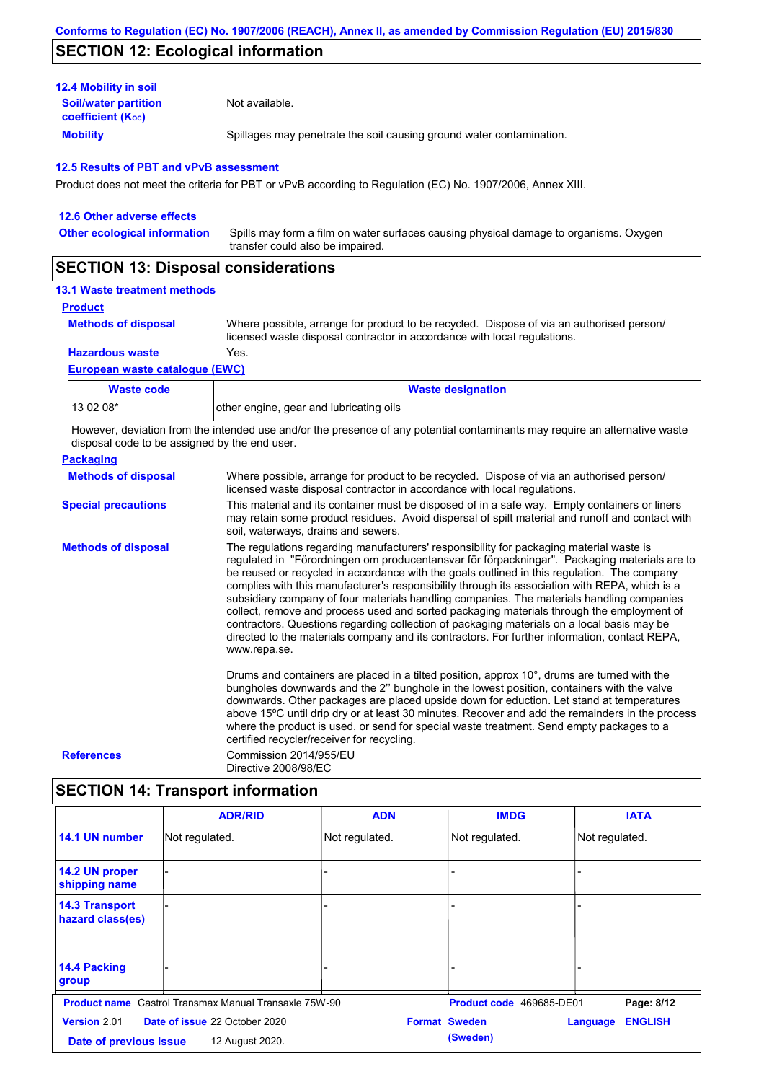## **SECTION 12: Ecological information**

| <b>12.4 Mobility in soil</b>                            |                                                                      |
|---------------------------------------------------------|----------------------------------------------------------------------|
| <b>Soil/water partition</b><br><b>coefficient (Koc)</b> | Not available.                                                       |
| <b>Mobility</b>                                         | Spillages may penetrate the soil causing ground water contamination. |

#### **12.5 Results of PBT and vPvB assessment**

Product does not meet the criteria for PBT or vPvB according to Regulation (EC) No. 1907/2006, Annex XIII.

| 12.6 Other adverse effects          |                                                                                                                           |
|-------------------------------------|---------------------------------------------------------------------------------------------------------------------------|
| <b>Other ecological information</b> | Spills may form a film on water surfaces causing physical damage to organisms. Oxygen<br>transfer could also be impaired. |
| <b>APAPIALI 14 BI</b>               |                                                                                                                           |

### **SECTION 13: Disposal considerations**

### **13.1 Waste treatment methods**

**Product**

**Methods of disposal**

Where possible, arrange for product to be recycled. Dispose of via an authorised person/ licensed waste disposal contractor in accordance with local regulations.

**Hazardous waste** Yes.

#### **European waste catalogue (EWC)**

| Waste code | <b>Waste designation</b>                |
|------------|-----------------------------------------|
| 13 02 08*  | other engine, gear and lubricating oils |

However, deviation from the intended use and/or the presence of any potential contaminants may require an alternative waste disposal code to be assigned by the end user.

| <b>Packaging</b>           |                                                                                                                                                                                                                                                                                                                                                                                                                                                                                                                                                                                                                                                                                                                                                                                                   |
|----------------------------|---------------------------------------------------------------------------------------------------------------------------------------------------------------------------------------------------------------------------------------------------------------------------------------------------------------------------------------------------------------------------------------------------------------------------------------------------------------------------------------------------------------------------------------------------------------------------------------------------------------------------------------------------------------------------------------------------------------------------------------------------------------------------------------------------|
| <b>Methods of disposal</b> | Where possible, arrange for product to be recycled. Dispose of via an authorised person/<br>licensed waste disposal contractor in accordance with local regulations.                                                                                                                                                                                                                                                                                                                                                                                                                                                                                                                                                                                                                              |
| <b>Special precautions</b> | This material and its container must be disposed of in a safe way. Empty containers or liners<br>may retain some product residues. Avoid dispersal of spilt material and runoff and contact with<br>soil, waterways, drains and sewers.                                                                                                                                                                                                                                                                                                                                                                                                                                                                                                                                                           |
| <b>Methods of disposal</b> | The regulations regarding manufacturers' responsibility for packaging material waste is<br>regulated in "Förordningen om producentansvar för förpackningar". Packaging materials are to<br>be reused or recycled in accordance with the goals outlined in this regulation. The company<br>complies with this manufacturer's responsibility through its association with REPA, which is a<br>subsidiary company of four materials handling companies. The materials handling companies<br>collect, remove and process used and sorted packaging materials through the employment of<br>contractors. Questions regarding collection of packaging materials on a local basis may be<br>directed to the materials company and its contractors. For further information, contact REPA,<br>www.repa.se. |
|                            | Drums and containers are placed in a tilted position, approx 10°, drums are turned with the<br>bungholes downwards and the 2" bunghole in the lowest position, containers with the valve<br>downwards. Other packages are placed upside down for eduction. Let stand at temperatures<br>above 15°C until drip dry or at least 30 minutes. Recover and add the remainders in the process<br>where the product is used, or send for special waste treatment. Send empty packages to a<br>certified recycler/receiver for recycling.                                                                                                                                                                                                                                                                 |
| <b>References</b>          | Commission 2014/955/EU<br>Directive 2008/98/EC                                                                                                                                                                                                                                                                                                                                                                                                                                                                                                                                                                                                                                                                                                                                                    |

## **SECTION 14: Transport information**

|                                           | <b>ADR/RID</b>                                               | <b>ADN</b>     | <b>IMDG</b>              | <b>IATA</b>                |  |
|-------------------------------------------|--------------------------------------------------------------|----------------|--------------------------|----------------------------|--|
| 14.1 UN number                            | Not regulated.                                               | Not regulated. | Not regulated.           | Not regulated.             |  |
| 14.2 UN proper<br>shipping name           |                                                              | -              |                          |                            |  |
| <b>14.3 Transport</b><br>hazard class(es) |                                                              | -              |                          |                            |  |
| 14.4 Packing<br>group                     |                                                              |                |                          |                            |  |
|                                           | <b>Product name</b> Castrol Transmax Manual Transaxle 75W-90 |                | Product code 469685-DE01 | Page: 8/12                 |  |
| <b>Version 2.01</b>                       | Date of issue 22 October 2020                                |                | <b>Format Sweden</b>     | <b>ENGLISH</b><br>Language |  |
|                                           | (Sweden)<br>12 August 2020.<br>Date of previous issue        |                |                          |                            |  |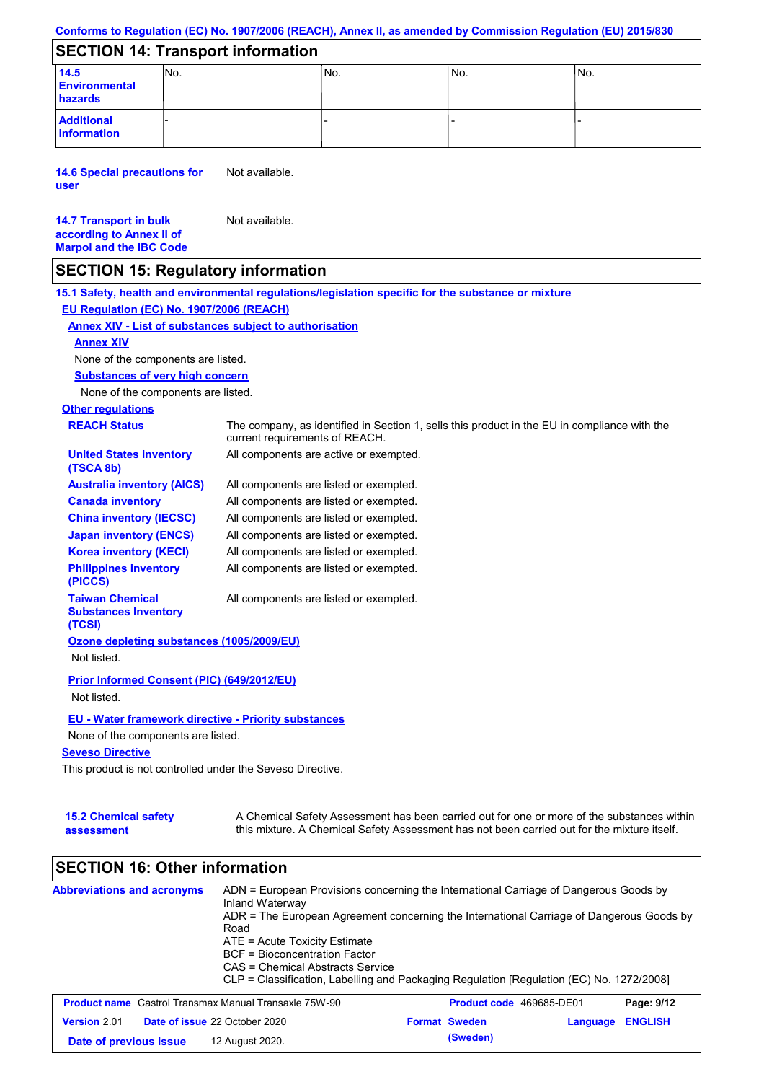|  |  | Conforms to Regulation (EC) No. 1907/2006 (REACH), Annex II, as amended by Commission Regulation (EU) 2015/830 |  |
|--|--|----------------------------------------------------------------------------------------------------------------|--|
|--|--|----------------------------------------------------------------------------------------------------------------|--|

### **SECTION 14: Transport information**

| 14.5                 | INO. | INo. | IN <sub>o</sub> | INo. |  |  |
|----------------------|------|------|-----------------|------|--|--|
| <b>Environmental</b> |      |      |                 |      |  |  |
| hazards              |      |      |                 |      |  |  |
| <b>Additional</b>    |      |      |                 |      |  |  |
| information          |      |      |                 |      |  |  |

**14.6 Special precautions for user** Not available.

| <b>14.7 Transport in bulk</b>  | Not available. |
|--------------------------------|----------------|
| according to Annex II of       |                |
| <b>Marpol and the IBC Code</b> |                |

### **SECTION 15: Regulatory information**

**Other regulations REACH Status** The company, as identified in Section 1, sells this product in the EU in compliance with the current requirements of REACH. **15.1 Safety, health and environmental regulations/legislation specific for the substance or mixture EU Regulation (EC) No. 1907/2006 (REACH) Annex XIV - List of substances subject to authorisation Substances of very high concern** None of the components are listed. All components are listed or exempted. All components are listed or exempted. All components are listed or exempted. All components are listed or exempted. All components are active or exempted. All components are listed or exempted. All components are listed or exempted. **United States inventory (TSCA 8b) Australia inventory (AICS) Canada inventory China inventory (IECSC) Japan inventory (ENCS) Korea inventory (KECI) Philippines inventory (PICCS) Taiwan Chemical Substances Inventory (TCSI)** All components are listed or exempted. **Ozone depleting substances (1005/2009/EU)** Not listed. **Prior Informed Consent (PIC) (649/2012/EU)** Not listed. **Seveso Directive** This product is not controlled under the Seveso Directive. None of the components are listed. **Annex XIV EU - Water framework directive - Priority substances** None of the components are listed.

| <b>15.2 Chemical safety</b> | A Chemical Safety Assessment has been carried out for one or more of the substances within  |
|-----------------------------|---------------------------------------------------------------------------------------------|
| assessment                  | this mixture. A Chemical Safety Assessment has not been carried out for the mixture itself. |

## **SECTION 16: Other information**

| <b>Abbreviations and acronyms</b>                            | ADN = European Provisions concerning the International Carriage of Dangerous Goods by<br>Inland Waterway<br>ADR = The European Agreement concerning the International Carriage of Dangerous Goods by<br>Road<br>ATE = Acute Toxicity Estimate<br>BCF = Bioconcentration Factor<br>CAS = Chemical Abstracts Service<br>CLP = Classification, Labelling and Packaging Regulation [Regulation (EC) No. 1272/2008] |                      |                                 |                |
|--------------------------------------------------------------|----------------------------------------------------------------------------------------------------------------------------------------------------------------------------------------------------------------------------------------------------------------------------------------------------------------------------------------------------------------------------------------------------------------|----------------------|---------------------------------|----------------|
| <b>Product name</b> Castrol Transmax Manual Transaxle 75W-90 |                                                                                                                                                                                                                                                                                                                                                                                                                |                      | <b>Product code</b> 469685-DE01 | Page: 9/12     |
| Version 2.01                                                 | Date of issue 22 October 2020                                                                                                                                                                                                                                                                                                                                                                                  | <b>Format Sweden</b> | Language                        | <b>ENGLISH</b> |
| Date of previous issue                                       | 12 August 2020.                                                                                                                                                                                                                                                                                                                                                                                                | (Sweden)             |                                 |                |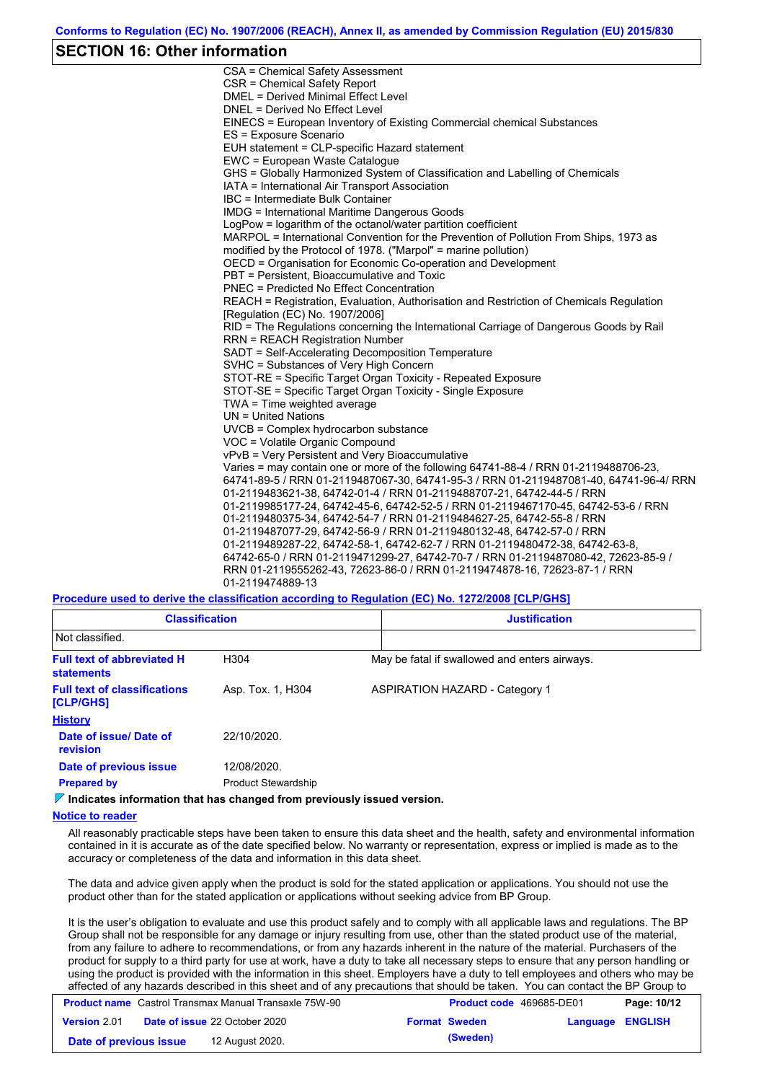### **SECTION 16: Other information**

CSA = Chemical Safety Assessment CSR = Chemical Safety Report DMEL = Derived Minimal Effect Level DNEL = Derived No Effect Level EINECS = European Inventory of Existing Commercial chemical Substances ES = Exposure Scenario EUH statement = CLP-specific Hazard statement EWC = European Waste Catalogue GHS = Globally Harmonized System of Classification and Labelling of Chemicals IATA = International Air Transport Association IBC = Intermediate Bulk Container IMDG = International Maritime Dangerous Goods LogPow = logarithm of the octanol/water partition coefficient MARPOL = International Convention for the Prevention of Pollution From Ships, 1973 as modified by the Protocol of 1978. ("Marpol" = marine pollution) OECD = Organisation for Economic Co-operation and Development PBT = Persistent, Bioaccumulative and Toxic PNEC = Predicted No Effect Concentration REACH = Registration, Evaluation, Authorisation and Restriction of Chemicals Regulation [Regulation (EC) No. 1907/2006] RID = The Regulations concerning the International Carriage of Dangerous Goods by Rail RRN = REACH Registration Number SADT = Self-Accelerating Decomposition Temperature SVHC = Substances of Very High Concern STOT-RE = Specific Target Organ Toxicity - Repeated Exposure STOT-SE = Specific Target Organ Toxicity - Single Exposure TWA = Time weighted average UN = United Nations UVCB = Complex hydrocarbon substance VOC = Volatile Organic Compound vPvB = Very Persistent and Very Bioaccumulative Varies = may contain one or more of the following 64741-88-4 / RRN 01-2119488706-23, 64741-89-5 / RRN 01-2119487067-30, 64741-95-3 / RRN 01-2119487081-40, 64741-96-4/ RRN 01-2119483621-38, 64742-01-4 / RRN 01-2119488707-21, 64742-44-5 / RRN 01-2119985177-24, 64742-45-6, 64742-52-5 / RRN 01-2119467170-45, 64742-53-6 / RRN 01-2119480375-34, 64742-54-7 / RRN 01-2119484627-25, 64742-55-8 / RRN 01-2119487077-29, 64742-56-9 / RRN 01-2119480132-48, 64742-57-0 / RRN 01-2119489287-22, 64742-58-1, 64742-62-7 / RRN 01-2119480472-38, 64742-63-8, 64742-65-0 / RRN 01-2119471299-27, 64742-70-7 / RRN 01-2119487080-42, 72623-85-9 / RRN 01-2119555262-43, 72623-86-0 / RRN 01-2119474878-16, 72623-87-1 / RRN 01-2119474889-13

**Procedure used to derive the classification according to Regulation (EC) No. 1272/2008 [CLP/GHS]**

| <b>Classification</b>                                   |                            | <b>Justification</b> |                                               |  |
|---------------------------------------------------------|----------------------------|----------------------|-----------------------------------------------|--|
| Not classified.                                         |                            |                      |                                               |  |
| <b>Full text of abbreviated H</b><br><b>statements</b>  | H304                       |                      | May be fatal if swallowed and enters airways. |  |
| <b>Full text of classifications</b><br><b>[CLP/GHS]</b> | Asp. Tox. 1, H304          |                      | <b>ASPIRATION HAZARD - Category 1</b>         |  |
| <b>History</b>                                          |                            |                      |                                               |  |
| Date of issue/ Date of<br><b>revision</b>               | 22/10/2020.                |                      |                                               |  |
| Date of previous issue                                  | 12/08/2020.                |                      |                                               |  |
| <b>Prepared by</b>                                      | <b>Product Stewardship</b> |                      |                                               |  |

**Indicates information that has changed from previously issued version.**

#### **Notice to reader**

All reasonably practicable steps have been taken to ensure this data sheet and the health, safety and environmental information contained in it is accurate as of the date specified below. No warranty or representation, express or implied is made as to the accuracy or completeness of the data and information in this data sheet.

The data and advice given apply when the product is sold for the stated application or applications. You should not use the product other than for the stated application or applications without seeking advice from BP Group.

It is the user's obligation to evaluate and use this product safely and to comply with all applicable laws and regulations. The BP Group shall not be responsible for any damage or injury resulting from use, other than the stated product use of the material, from any failure to adhere to recommendations, or from any hazards inherent in the nature of the material. Purchasers of the product for supply to a third party for use at work, have a duty to take all necessary steps to ensure that any person handling or using the product is provided with the information in this sheet. Employers have a duty to tell employees and others who may be affected of any hazards described in this sheet and of any precautions that should be taken. You can contact the BP Group to

|                        | <b>Product name</b> Castrol Transmax Manual Transaxle 75W-90 | <b>Product code</b> 469685-DE01<br>Page: 10/12 |
|------------------------|--------------------------------------------------------------|------------------------------------------------|
| <b>Version 2.01</b>    | <b>Date of issue 22 October 2020</b><br><b>Format Sweden</b> | Language ENGLISH                               |
| Date of previous issue | (Sweden)<br>12 August 2020.                                  |                                                |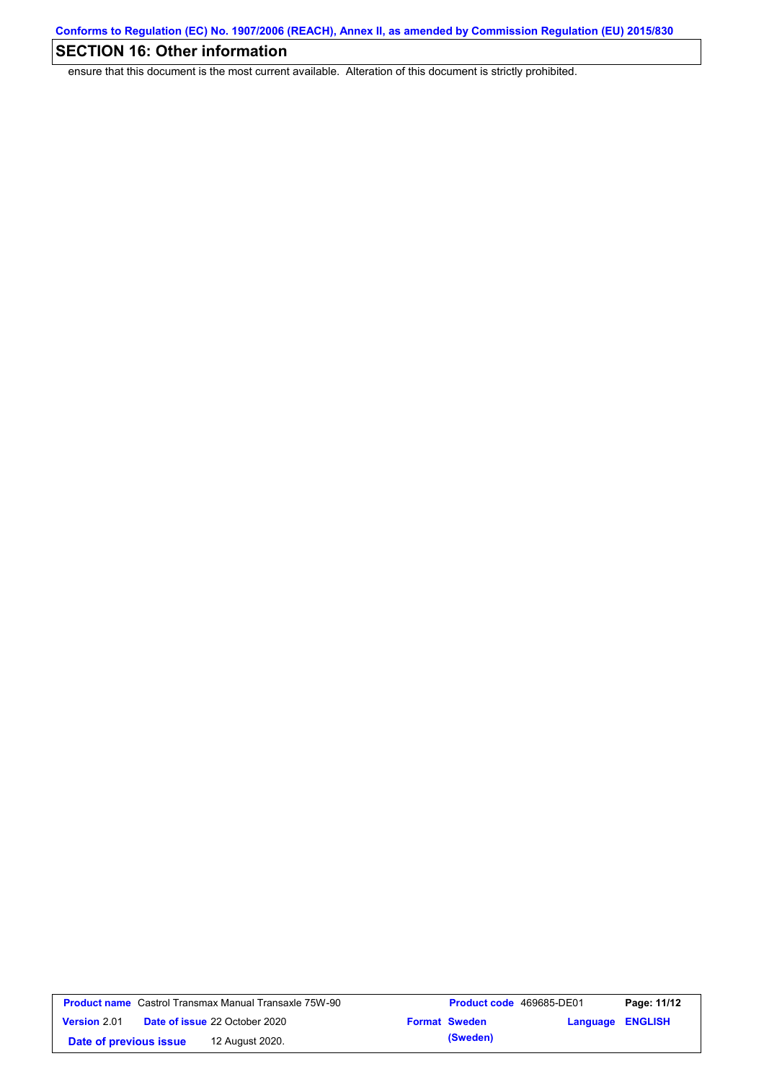# **SECTION 16: Other information**

ensure that this document is the most current available. Alteration of this document is strictly prohibited.

|                        | <b>Product name</b> Castrol Transmax Manual Transaxle 75W-90 | <b>Product code</b> 469685-DE01 |                         | Page: 11/12 |
|------------------------|--------------------------------------------------------------|---------------------------------|-------------------------|-------------|
| <b>Version 2.01</b>    | <b>Date of issue 22 October 2020</b>                         | <b>Format Sweden</b>            | <b>Language ENGLISH</b> |             |
| Date of previous issue | 12 August 2020.                                              | (Sweden)                        |                         |             |